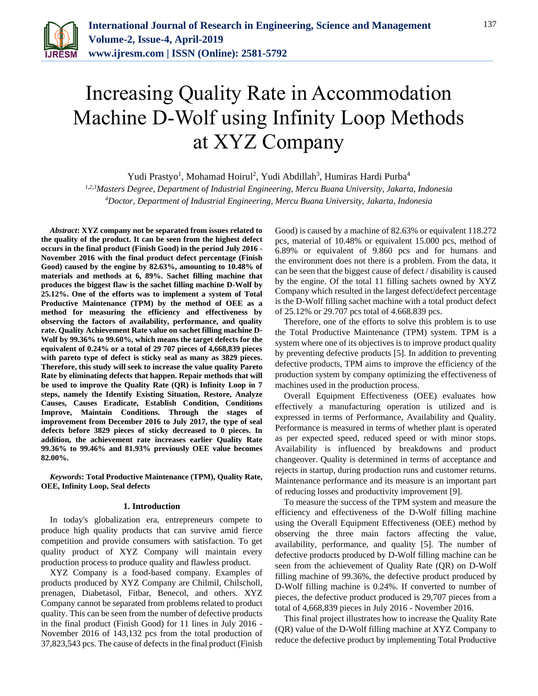

# Increasing Quality Rate in Accommodation Machine D-Wolf using Infinity Loop Methods at XYZ Company

Yudi Prastyo<sup>1</sup>, Mohamad Hoirul<sup>2</sup>, Yudi Abdillah<sup>3</sup>, Humiras Hardi Purba<sup>4</sup>

*1,2,3Masters Degree, Department of Industrial Engineering, Mercu Buana University, Jakarta, Indonesia <sup>4</sup>Doctor, Department of Industrial Engineering, Mercu Buana University, Jakarta, Indonesia*

*Abstract***: XYZ company not be separated from issues related to the quality of the product. It can be seen from the highest defect occurs in the final product (Finish Good) in the period July 2016 - November 2016 with the final product defect percentage (Finish Good) caused by the engine by 82.63%, amounting to 10.48% of materials and methods at 6, 89%. Sachet filling machine that produces the biggest flaw is the sachet filling machine D-Wolf by 25.12%. One of the efforts was to implement a system of Total Productive Maintenance (TPM) by the method of OEE as a method for measuring the efficiency and effectiveness by observing the factors of availability, performance, and quality rate. Quality Achievement Rate value on sachet filling machine D-Wolf by 99.36% to 99.60%, which means the target defects for the equivalent of 0.24% or a total of 29 707 pieces of 4,668,839 pieces with pareto type of defect is sticky seal as many as 3829 pieces. Therefore, this study will seek to increase the value quality Pareto Rate by eliminating defects that happen. Repair methods that will be used to improve the Quality Rate (QR) is Infinity Loop in 7 steps, namely the Identify Existing Situation, Restore, Analyze Causes, Causes Eradicate, Establish Condition, Conditions Improve, Maintain Conditions. Through the stages of improvement from December 2016 to July 2017, the type of seal defects before 3829 pieces of sticky decreased to 0 pieces. In addition, the achievement rate increases earlier Quality Rate 99.36% to 99.46% and 81.93% previously OEE value becomes 82.00%.**

*Keywords***: Total Productive Maintenance (TPM), Quality Rate, OEE, Infinity Loop, Seal defects**

#### **1. Introduction**

In today's globalization era, entrepreneurs compete to produce high quality products that can survive amid fierce competition and provide consumers with satisfaction. To get quality product of XYZ Company will maintain every production process to produce quality and flawless product.

XYZ Company is a food-based company. Examples of products produced by XYZ Company are Chilmil, Chilscholl, prenagen, Diabetasol, Fitbar, Benecol, and others. XYZ Company cannot be separated from problems related to product quality. This can be seen from the number of defective products in the final product (Finish Good) for 11 lines in July 2016 - November 2016 of 143,132 pcs from the total production of 37,823,543 pcs. The cause of defects in the final product (Finish

Good) is caused by a machine of 82.63% or equivalent 118.272 pcs, material of 10.48% or equivalent 15.000 pcs, method of 6.89% or equivalent of 9.860 pcs and for humans and the environment does not there is a problem. From the data, it can be seen that the biggest cause of defect / disability is caused by the engine. Of the total 11 filling sachets owned by XYZ Company which resulted in the largest defect/defect percentage is the D-Wolf filling sachet machine with a total product defect of 25.12% or 29.707 pcs total of 4.668.839 pcs.

Therefore, one of the efforts to solve this problem is to use the Total Productive Maintenance (TPM) system. TPM is a system where one of its objectives is to improve product quality by preventing defective products [5]. In addition to preventing defective products, TPM aims to improve the efficiency of the production system by company optimizing the effectiveness of machines used in the production process.

Overall Equipment Effectiveness (OEE) evaluates how effectively a manufacturing operation is utilized and is expressed in terms of Performance, Availability and Quality. Performance is measured in terms of whether plant is operated as per expected speed, reduced speed or with minor stops. Availability is influenced by breakdowns and product changeover. Quality is determined in terms of acceptance and rejects in startup, during production runs and customer returns. Maintenance performance and its measure is an important part of reducing losses and productivity improvement [9].

To measure the success of the TPM system and measure the efficiency and effectiveness of the D-Wolf filling machine using the Overall Equipment Effectiveness (OEE) method by observing the three main factors affecting the value, availability, performance, and quality [5]. The number of defective products produced by D-Wolf filling machine can be seen from the achievement of Quality Rate (QR) on D-Wolf filling machine of 99.36%, the defective product produced by D-Wolf filling machine is 0.24%. If converted to number of pieces, the defective product produced is 29,707 pieces from a total of 4,668,839 pieces in July 2016 - November 2016.

This final project illustrates how to increase the Quality Rate (QR) value of the D-Wolf filling machine at XYZ Company to reduce the defective product by implementing Total Productive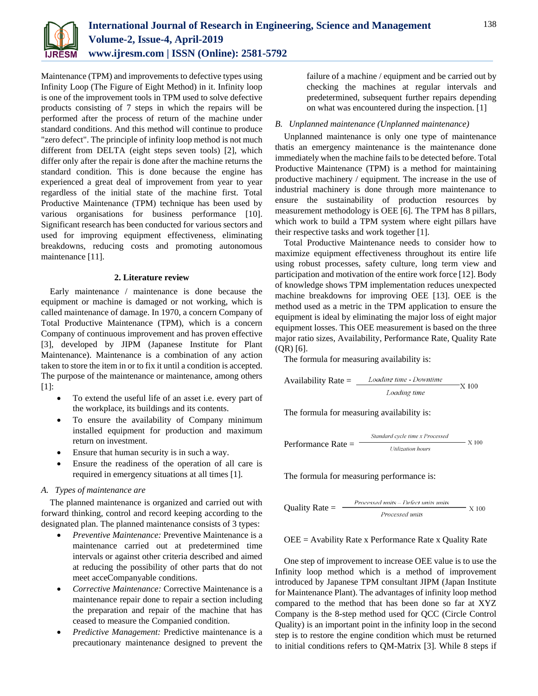

Maintenance (TPM) and improvements to defective types using Infinity Loop (The Figure of Eight Method) in it. Infinity loop is one of the improvement tools in TPM used to solve defective products consisting of 7 steps in which the repairs will be performed after the process of return of the machine under standard conditions. And this method will continue to produce "zero defect". The principle of infinity loop method is not much different from DELTA (eight steps seven tools) [2], which differ only after the repair is done after the machine returns the standard condition. This is done because the engine has experienced a great deal of improvement from year to year regardless of the initial state of the machine first. Total Productive Maintenance (TPM) technique has been used by various organisations for business performance [10]. Significant research has been conducted for various sectors and used for improving equipment effectiveness, eliminating breakdowns, reducing costs and promoting autonomous maintenance [11].

#### **2. Literature review**

Early maintenance / maintenance is done because the equipment or machine is damaged or not working, which is called maintenance of damage. In 1970, a concern Company of Total Productive Maintenance (TPM), which is a concern Company of continuous improvement and has proven effective [3], developed by JIPM (Japanese Institute for Plant Maintenance). Maintenance is a combination of any action taken to store the item in or to fix it until a condition is accepted. The purpose of the maintenance or maintenance, among others [1]:

- To extend the useful life of an asset i.e. every part of the workplace, its buildings and its contents.
- To ensure the availability of Company minimum installed equipment for production and maximum return on investment.
- Ensure that human security is in such a way.
- Ensure the readiness of the operation of all care is required in emergency situations at all times [1].

### *A. Types of maintenance are*

The planned maintenance is organized and carried out with forward thinking, control and record keeping according to the designated plan. The planned maintenance consists of 3 types:

- *Preventive Maintenance:* Preventive Maintenance is a maintenance carried out at predetermined time intervals or against other criteria described and aimed at reducing the possibility of other parts that do not meet acceCompanyable conditions.
- *Corrective Maintenance:* Corrective Maintenance is a maintenance repair done to repair a section including the preparation and repair of the machine that has ceased to measure the Companied condition.
- *Predictive Management:* Predictive maintenance is a precautionary maintenance designed to prevent the

failure of a machine / equipment and be carried out by checking the machines at regular intervals and predetermined, subsequent further repairs depending on what was encountered during the inspection. [1]

#### *B. Unplanned maintenance (Unplanned maintenance)*

Unplanned maintenance is only one type of maintenance thatis an emergency maintenance is the maintenance done immediately when the machine fails to be detected before. Total Productive Maintenance (TPM) is a method for maintaining productive machinery / equipment. The increase in the use of industrial machinery is done through more maintenance to ensure the sustainability of production resources by measurement methodology is OEE [6]. The TPM has 8 pillars, which work to build a TPM system where eight pillars have their respective tasks and work together [1].

Total Productive Maintenance needs to consider how to maximize equipment effectiveness throughout its entire life using robust processes, safety culture, long term view and participation and motivation of the entire work force [12]. Body of knowledge shows TPM implementation reduces unexpected machine breakdowns for improving OEE [13]. OEE is the method used as a metric in the TPM application to ensure the equipment is ideal by eliminating the major loss of eight major equipment losses. This OEE measurement is based on the three major ratio sizes, Availability, Performance Rate, Quality Rate (QR) [6].

The formula for measuring availability is:

$$
Availableility Rate = \frac{loading time - Downtime}{loading time} \times 100
$$

The formula for measuring availability is:

**Performance Rate =**

\n**Standard cycle time x Processes**

\n
$$
X 100
$$

\n**Definition hours**

The formula for measuring performance is:

**Quality Rate =** 
$$
\frac{Proceed \; units - Defect \; units}{Proceed \; units} \quad X \; 100
$$

 $OEE =$  Avability Rate x Performance Rate x Quality Rate

One step of improvement to increase OEE value is to use the Infinity loop method which is a method of improvement introduced by Japanese TPM consultant JIPM (Japan Institute for Maintenance Plant). The advantages of infinity loop method compared to the method that has been done so far at XYZ Company is the 8-step method used for QCC (Circle Control Quality) is an important point in the infinity loop in the second step is to restore the engine condition which must be returned to initial conditions refers to QM-Matrix [3]. While 8 steps if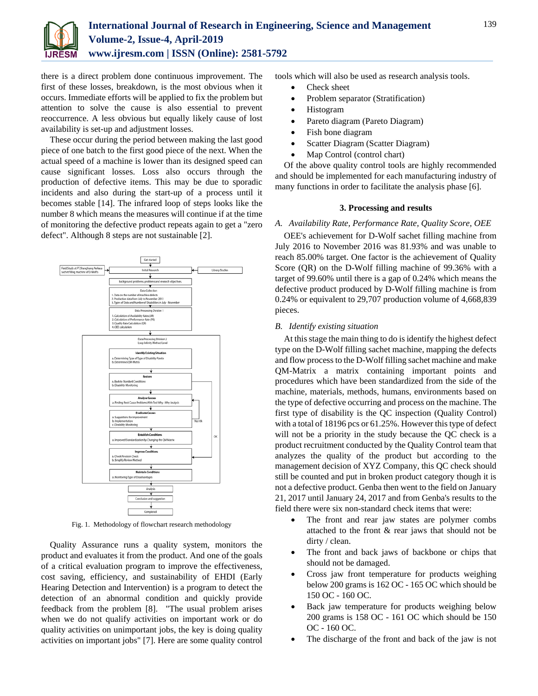

there is a direct problem done continuous improvement. The first of these losses, breakdown, is the most obvious when it occurs. Immediate efforts will be applied to fix the problem but attention to solve the cause is also essential to prevent reoccurrence. A less obvious but equally likely cause of lost availability is set-up and adjustment losses.

These occur during the period between making the last good piece of one batch to the first good piece of the next. When the actual speed of a machine is lower than its designed speed can cause significant losses. Loss also occurs through the production of defective items. This may be due to sporadic incidents and also during the start-up of a process until it becomes stable [14]. The infrared loop of steps looks like the number 8 which means the measures will continue if at the time of monitoring the defective product repeats again to get a "zero defect". Although 8 steps are not sustainable [2].



Fig. 1. Methodology of flowchart research methodology

Quality Assurance runs a quality system, monitors the product and evaluates it from the product. And one of the goals of a critical evaluation program to improve the effectiveness, cost saving, efficiency, and sustainability of EHDI (Early Hearing Detection and Intervention) is a program to detect the detection of an abnormal condition and quickly provide feedback from the problem [8]. "The usual problem arises when we do not qualify activities on important work or do quality activities on unimportant jobs, the key is doing quality activities on important jobs" [7]. Here are some quality control

tools which will also be used as research analysis tools.

- Check sheet
- Problem separator (Stratification)
- Histogram
- Pareto diagram (Pareto Diagram)
- Fish bone diagram
- Scatter Diagram (Scatter Diagram)
- Map Control (control chart)

Of the above quality control tools are highly recommended and should be implemented for each manufacturing industry of many functions in order to facilitate the analysis phase [6].

### **3. Processing and results**

#### *A. Availability Rate, Performance Rate, Quality Score, OEE*

OEE's achievement for D-Wolf sachet filling machine from July 2016 to November 2016 was 81.93% and was unable to reach 85.00% target. One factor is the achievement of Quality Score (QR) on the D-Wolf filling machine of 99.36% with a target of 99.60% until there is a gap of 0.24% which means the defective product produced by D-Wolf filling machine is from 0.24% or equivalent to 29,707 production volume of 4,668,839 pieces.

#### *B. Identify existing situation*

At this stage the main thing to do is identify the highest defect type on the D-Wolf filling sachet machine, mapping the defects and flow process to the D-Wolf filling sachet machine and make QM-Matrix a matrix containing important points and procedures which have been standardized from the side of the machine, materials, methods, humans, environments based on the type of defective occurring and process on the machine. The first type of disability is the QC inspection (Quality Control) with a total of 18196 pcs or 61.25%. However this type of defect will not be a priority in the study because the QC check is a product recruitment conducted by the Quality Control team that analyzes the quality of the product but according to the management decision of XYZ Company, this QC check should still be counted and put in broken product category though it is not a defective product. Genba then went to the field on January 21, 2017 until January 24, 2017 and from Genba's results to the field there were six non-standard check items that were:

- The front and rear jaw states are polymer combs attached to the front & rear jaws that should not be dirty / clean.
- The front and back jaws of backbone or chips that should not be damaged.
- Cross jaw front temperature for products weighing below 200 grams is 162 OC - 165 OC which should be 150 OC - 160 OC.
- Back jaw temperature for products weighing below 200 grams is 158 OC - 161 OC which should be 150 OC - 160 OC.
- The discharge of the front and back of the jaw is not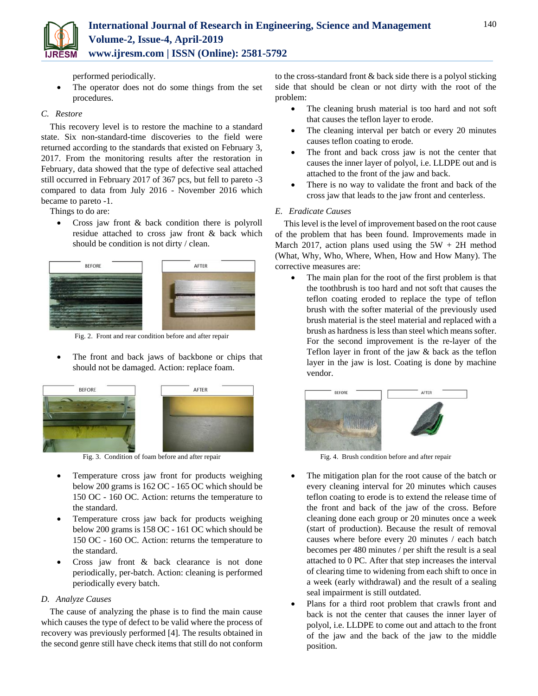

performed periodically.

 The operator does not do some things from the set procedures.

## *C. Restore*

This recovery level is to restore the machine to a standard state. Six non-standard-time discoveries to the field were returned according to the standards that existed on February 3, 2017. From the monitoring results after the restoration in February, data showed that the type of defective seal attached still occurred in February 2017 of 367 pcs, but fell to pareto -3 compared to data from July 2016 - November 2016 which became to pareto -1.

Things to do are:

• Cross jaw front & back condition there is polyroll residue attached to cross jaw front & back which should be condition is not dirty / clean.



Fig. 2. Front and rear condition before and after repair

 The front and back jaws of backbone or chips that should not be damaged. Action: replace foam.



Fig. 3. Condition of foam before and after repair

- Temperature cross jaw front for products weighing below 200 grams is 162 OC - 165 OC which should be 150 OC - 160 OC. Action: returns the temperature to the standard.
- Temperature cross jaw back for products weighing below 200 grams is 158 OC - 161 OC which should be 150 OC - 160 OC. Action: returns the temperature to the standard.
- Cross jaw front & back clearance is not done periodically, per-batch. Action: cleaning is performed periodically every batch.

# *D. Analyze Causes*

The cause of analyzing the phase is to find the main cause which causes the type of defect to be valid where the process of recovery was previously performed [4]. The results obtained in the second genre still have check items that still do not conform to the cross-standard front & back side there is a polyol sticking side that should be clean or not dirty with the root of the problem:

- The cleaning brush material is too hard and not soft that causes the teflon layer to erode.
- The cleaning interval per batch or every 20 minutes causes teflon coating to erode.
- The front and back cross jaw is not the center that causes the inner layer of polyol, i.e. LLDPE out and is attached to the front of the jaw and back.
- There is no way to validate the front and back of the cross jaw that leads to the jaw front and centerless.

## *E. Eradicate Causes*

This level is the level of improvement based on the root cause of the problem that has been found. Improvements made in March 2017, action plans used using the  $5W + 2H$  method (What, Why, Who, Where, When, How and How Many). The corrective measures are:

 The main plan for the root of the first problem is that the toothbrush is too hard and not soft that causes the teflon coating eroded to replace the type of teflon brush with the softer material of the previously used brush material is the steel material and replaced with a brush as hardness is less than steel which means softer. For the second improvement is the re-layer of the Teflon layer in front of the jaw & back as the teflon layer in the jaw is lost. Coating is done by machine vendor.



Fig. 4. Brush condition before and after repair

- The mitigation plan for the root cause of the batch or every cleaning interval for 20 minutes which causes teflon coating to erode is to extend the release time of the front and back of the jaw of the cross. Before cleaning done each group or 20 minutes once a week (start of production). Because the result of removal causes where before every 20 minutes / each batch becomes per 480 minutes / per shift the result is a seal attached to 0 PC. After that step increases the interval of clearing time to widening from each shift to once in a week (early withdrawal) and the result of a sealing seal impairment is still outdated.
- Plans for a third root problem that crawls front and back is not the center that causes the inner layer of polyol, i.e. LLDPE to come out and attach to the front of the jaw and the back of the jaw to the middle position.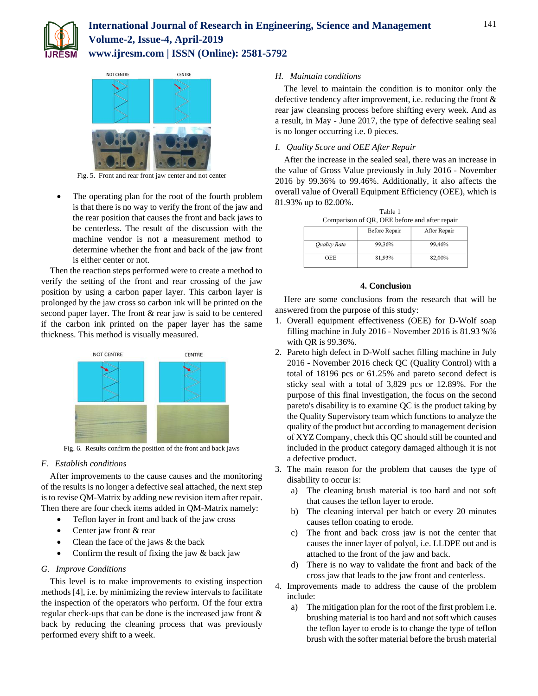



Fig. 5. Front and rear front jaw center and not center

 The operating plan for the root of the fourth problem is that there is no way to verify the front of the jaw and the rear position that causes the front and back jaws to be centerless. The result of the discussion with the machine vendor is not a measurement method to determine whether the front and back of the jaw front is either center or not.

Then the reaction steps performed were to create a method to verify the setting of the front and rear crossing of the jaw position by using a carbon paper layer. This carbon layer is prolonged by the jaw cross so carbon ink will be printed on the second paper layer. The front & rear jaw is said to be centered if the carbon ink printed on the paper layer has the same thickness. This method is visually measured.



Fig. 6. Results confirm the position of the front and back jaws

## *F. Establish conditions*

After improvements to the cause causes and the monitoring of the results is no longer a defective seal attached, the next step is to revise QM-Matrix by adding new revision item after repair. Then there are four check items added in QM-Matrix namely:

- Teflon layer in front and back of the jaw cross
- Center jaw front & rear
- Clean the face of the jaws & the back
- Confirm the result of fixing the jaw & back jaw

## *G. Improve Conditions*

This level is to make improvements to existing inspection methods [4], i.e. by minimizing the review intervals to facilitate the inspection of the operators who perform. Of the four extra regular check-ups that can be done is the increased jaw front & back by reducing the cleaning process that was previously performed every shift to a week.

## *H. Maintain conditions*

The level to maintain the condition is to monitor only the defective tendency after improvement, i.e. reducing the front & rear jaw cleansing process before shifting every week. And as a result, in May - June 2017, the type of defective sealing seal is no longer occurring i.e. 0 pieces.

# *I. Quality Score and OEE After Repair*

After the increase in the sealed seal, there was an increase in the value of Gross Value previously in July 2016 - November 2016 by 99.36% to 99.46%. Additionally, it also affects the overall value of Overall Equipment Efficiency (OEE), which is 81.93% up to 82.00%.

| Table 1<br>Comparison of QR, OEE before and after repair |               |              |
|----------------------------------------------------------|---------------|--------------|
|                                                          | Before Repair | After Repair |
| <b>Quality Rate</b>                                      | 99,36%        | 99,46%       |
| <b>OEE</b>                                               | 81,93%        | 82,00%       |

## **4. Conclusion**

Here are some conclusions from the research that will be answered from the purpose of this study:

- 1. Overall equipment effectiveness (OEE) for D-Wolf soap filling machine in July 2016 - November 2016 is 81.93 %% with QR is 99.36%.
- 2. Pareto high defect in D-Wolf sachet filling machine in July 2016 - November 2016 check QC (Quality Control) with a total of 18196 pcs or 61.25% and pareto second defect is sticky seal with a total of 3,829 pcs or 12.89%. For the purpose of this final investigation, the focus on the second pareto's disability is to examine QC is the product taking by the Quality Supervisory team which functions to analyze the quality of the product but according to management decision of XYZ Company, check this QC should still be counted and included in the product category damaged although it is not a defective product.
- 3. The main reason for the problem that causes the type of disability to occur is:
	- a) The cleaning brush material is too hard and not soft that causes the teflon layer to erode.
	- b) The cleaning interval per batch or every 20 minutes causes teflon coating to erode.
	- c) The front and back cross jaw is not the center that causes the inner layer of polyol, i.e. LLDPE out and is attached to the front of the jaw and back.
	- d) There is no way to validate the front and back of the cross jaw that leads to the jaw front and centerless.
- 4. Improvements made to address the cause of the problem include:
	- a) The mitigation plan for the root of the first problem i.e. brushing material is too hard and not soft which causes the teflon layer to erode is to change the type of teflon brush with the softer material before the brush material